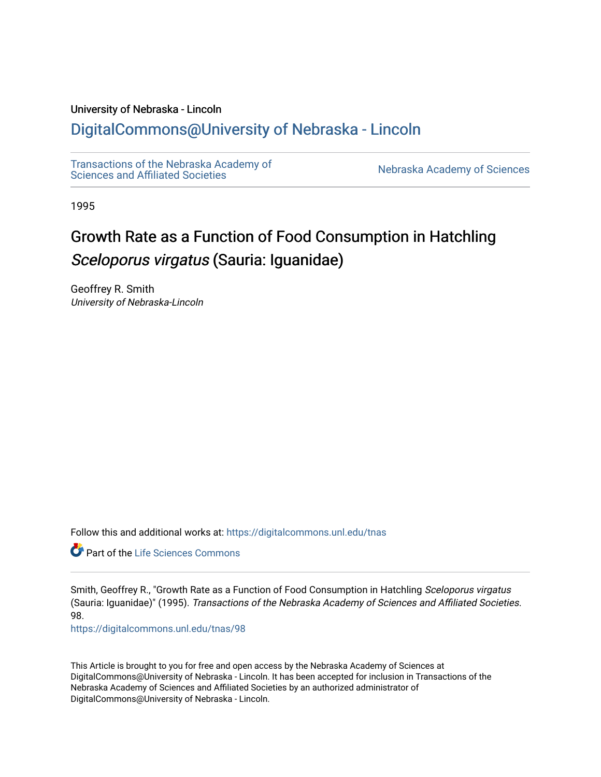## University of Nebraska - Lincoln

## [DigitalCommons@University of Nebraska - Lincoln](https://digitalcommons.unl.edu/)

[Transactions of the Nebraska Academy of](https://digitalcommons.unl.edu/tnas)  Transactions of the Nebraska Academy of Sciences<br>Sciences and Affiliated Societies

1995

# Growth Rate as a Function of Food Consumption in Hatchling Sceloporus virgatus (Sauria: Iguanidae)

Geoffrey R. Smith University of Nebraska-Lincoln

Follow this and additional works at: [https://digitalcommons.unl.edu/tnas](https://digitalcommons.unl.edu/tnas?utm_source=digitalcommons.unl.edu%2Ftnas%2F98&utm_medium=PDF&utm_campaign=PDFCoverPages) 

**C** Part of the Life Sciences Commons

Smith, Geoffrey R., "Growth Rate as a Function of Food Consumption in Hatchling Sceloporus virgatus (Sauria: Iguanidae)" (1995). Transactions of the Nebraska Academy of Sciences and Affiliated Societies. 98.

[https://digitalcommons.unl.edu/tnas/98](https://digitalcommons.unl.edu/tnas/98?utm_source=digitalcommons.unl.edu%2Ftnas%2F98&utm_medium=PDF&utm_campaign=PDFCoverPages)

This Article is brought to you for free and open access by the Nebraska Academy of Sciences at DigitalCommons@University of Nebraska - Lincoln. It has been accepted for inclusion in Transactions of the Nebraska Academy of Sciences and Affiliated Societies by an authorized administrator of DigitalCommons@University of Nebraska - Lincoln.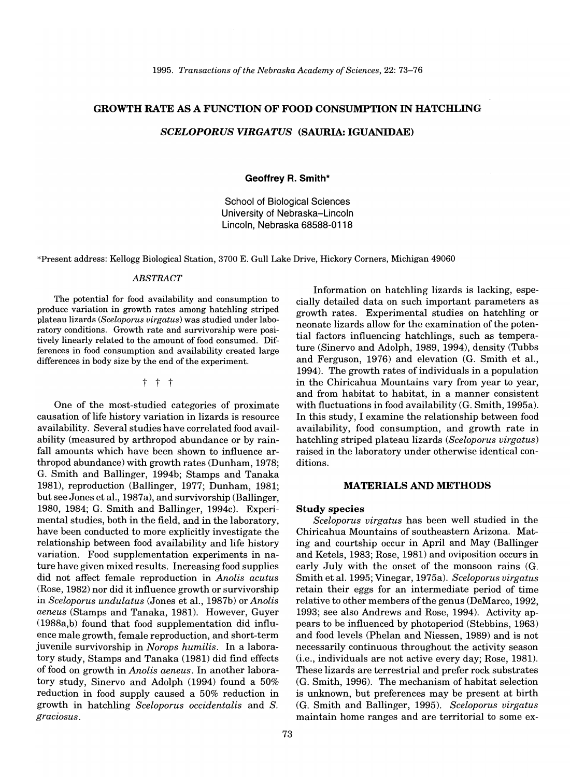## GROWTH RATE AS A FUNCTION OF FOOD CONSUMPTION IN HATCHLING

## *SCELOPORUS VIRGATUS* (SAURIA: IGUANIDAE)

Geoffrey R. Smith\*

School of Biological Sciences University of Nebraska-Lincoln Lincoln, Nebraska 68588-0118

\*Present address: Kellogg Biological Station, 3700 E. Gull Lake Drive, Hickory Corners, Michigan 49060

#### *ABSTRACT*

The potential for food availability and consumption to produce variation in growth rates among hatchling striped plateau lizards *(Sceloporus virgatus)* was studied under laboratory conditions. Growth rate and survivorship were positively linearly related to the amount of food consumed. Differences in food consumption and availability created large differences in body size by the end of the experiment.

t t t

One of the most-studied categories of proximate causation of life history variation in lizards is resource availability. Several studies have correlated food availability (measured by arthropod abundance or by rainfall amounts which have been shown to influence arthropod abundance) with growth rates (Dunham, 1978; G. Smith and Ballinger, 1994b; Stamps and Tanaka 1981), reproduction (Ballinger, 1977; Dunham, 1981; but see Jones et aI., 1987a), and survivorship (Ballinger, 1980, 1984; G. Smith and Ballinger, 1994c). Experimental studies, both in the field, and in the laboratory, have been conducted to more explicitly investigate the relationship between food availability and life history variation. Food supplementation experiments in nature have given mixed results. Increasing food supplies did not affect female reproduction in *Anolis acutus*  (Rose, 1982) nor did it influence growth or survivorship in *Sceloporus undulatus* (Jones et aI., 1987b) or *Anolis aeneus* (Stamps and Tanaka, 1981). However, Guyer (1988a,b) found that food supplementation did influence male growth, female reproduction, and short-term juvenile survivorship in *Norops humilis.* In a laboratory study, Stamps and Tanaka (1981) did find effects of food on growth in *Anolis aeneus.* In another laboratory study, Sinervo and Adolph (1994) found a 50% reduction in food supply caused a 50% reduction in growth in hatchling *Sceloporus occidentalis* and *S. graciosus.* 

Information on hatchling lizards is lacking, especially detailed data on such important parameters as growth rates. Experimental studies on hatchling or neonate lizards allow for the examination of the potential factors influencing hatchlings, such as temperature (Sinervo and Adolph, 1989, 1994), density (Tubbs and Ferguson, 1976) and elevation (G. Smith et aI., 1994). The growth rates of individuals in a population in the Chiricahua Mountains vary from year to year, and from habitat to habitat, in a manner consistent with fluctuations in food availability (G. Smith, 1995a). In this study, I examine the relationship between food availability, food consumption, and growth rate in hatchling striped plateau lizards *(Sceloporus virgatus)*  raised in the laboratory under otherwise identical conditions.

### MATERIALS AND METHODS

#### Study species

*Sceloporus virgatus* has been well studied in the Chiricahua Mountains of southeastern Arizona. Mating and courtship occur in April and May (Ballinger and Ketels, 1983; Rose, 1981) and oviposition occurs in early July with the onset of the monsoon rains (G. Smith et aI. 1995; Vinegar, 1975a). *Sceloporus virgatus*  retain their eggs for an intermediate period of time relative to other members of the genus (DeMarco, 1992, 1993; see also Andrews and Rose, 1994). Activity appears to be influenced by photoperiod (Stebbins, 1963) and food levels (Phelan and Niessen, 1989) and is not necessarily continuous throughout the activity season (Le., individuals are not active every day; Rose, 1981). These lizards are terrestrial and prefer rock substrates (G. Smith, 1996). The mechanism of habitat selection is unknown, but preferences may be present at birth (G. Smith and Ballinger, 1995). *Sceloporus virgatus*  maintain home ranges and are territorial to some ex-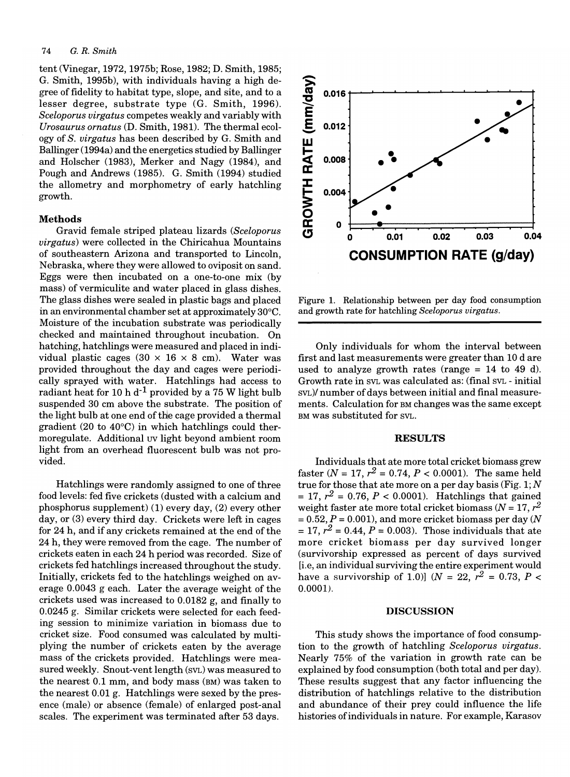## 74 G. R. *Smith*

tent (Vinegar, 1972, 1975b; Rose, 1982; D. Smith, 1985; G. Smith, 1995b), with individuals having a high degree of fidelity to habitat type, slope, and site, and to a lesser degree, substrate type (G. Smith, 1996). *Sceloporus virgatus* competes weakly and variably with *Urosaurus ornatus* (D. Smith, 1981). The thermal ecology of S. *virgatus* has been described by G. Smith and Ballinger (1994a) and the energetics studied by Ballinger and Holscher (1983), Merker and Nagy (1984), and Pough and Andrews (1985). G. Smith (1994) studied the allometry and morphometry of early hatchling growth.

#### **Methods**

Gravid female striped plateau lizards *(Sceloporus virgatus)* were collected in the Chiricahua Mountains of southeastern Arizona and transported to Lincoln, Nebraska, where they were allowed to oviposit on sand. Eggs were then incubated on a one-to-one mix (by mass) of vermiculite and water placed in glass dishes. The glass dishes were sealed in plastic bags and placed in an environmental chamber set at approximately 30°C. Moisture of the incubation substrate was periodically checked and maintained throughout incubation. On hatching, hatchlings were measured and placed in individual plastic cages  $(30 \times 16 \times 8 \text{ cm})$ . Water was provided throughout the day and cages were periodically sprayed with water. Hatchlings had access to radiant heat for 10 h  $d^{-1}$  provided by a 75 W light bulb suspended 30 cm above the substrate. The position of the light bulb at one end of the cage provided a thermal gradient (20 to 40°C) in which hatchlings could thermoregulate. Additional uv light beyond ambient room light from an overhead fluorescent bulb was not provided.

Hatchlings were randomly assigned to one of three food levels: fed five crickets (dusted with a calcium and phosphorus supplement) (1) every day, (2) every other day, or (3) every third day. Crickets were left in cages for 24 h, and if any crickets remained at the end of the 24 h, they were removed from the cage. The number of crickets eaten in each 24 h period was recorded. Size of crickets fed hatchlings increased throughout the study. Initially, crickets fed to the hatchlings weighed on average 0.0043 g each. Later the average weight of the crickets used was increased to 0.0182 g, and finally to 0.0245 g. Similar crickets were selected for each feeding session to minimize variation in biomass due to cricket size. Food consumed was calculated by multiplying the number of crickets eaten by the average mass of the crickets provided. Hatchlings were measured weekly. Snout-vent length (SVL) was measured to the nearest 0.1 mm, and body mass (BM) was taken to the nearest 0.01 g. Hatchlings were sexed by the presence (male) or absence (female) of enlarged post-anal scales. The experiment was terminated after 53 days.



Figure 1. Relationship between per day food consumption and growth rate for hatchling *Sceloporus virgatus.* 

Only individuals for whom the interval between first and last measurements were greater than 10 d are used to analyze growth rates (range  $= 14$  to 49 d). Growth rate in SVL was calculated as: (final SVL - initial SVL)/ number of days between initial and final measurements. Calculation for BM changes was the same except BM was substituted for SVL.

## **RESULTS**

Individuals that ate more total cricket biomass grew faster ( $N = 17$ ,  $r^2 = 0.74$ ,  $P < 0.0001$ ). The same held true for those that ate more on a per day basis (Fig. 1;  $N$  $= 17, r^2 = 0.76, P < 0.0001$ . Hatchlings that gained weight faster ate more total cricket biomass ( $N = 17$ ,  $r<sup>2</sup>$ )  $= 0.52, P = 0.001$ , and more cricket biomass per day (N) = 17,  $r^2$  = 0.44, P = 0.003). Those individuals that ate more cricket biomass per day survived longer (survivorship expressed as percent of days survived [i.e, an individual surviving the entire experiment would have a survivorship of 1.0)]  $(N = 22, r^2 = 0.73, P <$ 0.0001).

#### **DISCUSSION**

This study shows the importance of food consumption to the growth of hatchling *Sceloporus virgatus.*  Nearly 75% of the variation in growth rate can be explained by food consumption (both total and per day). These results suggest that any factor influencing the distribution of hatchlings relative to the distribution and abundance of their prey could influence the life histories of individuals in nature. For example, Karasov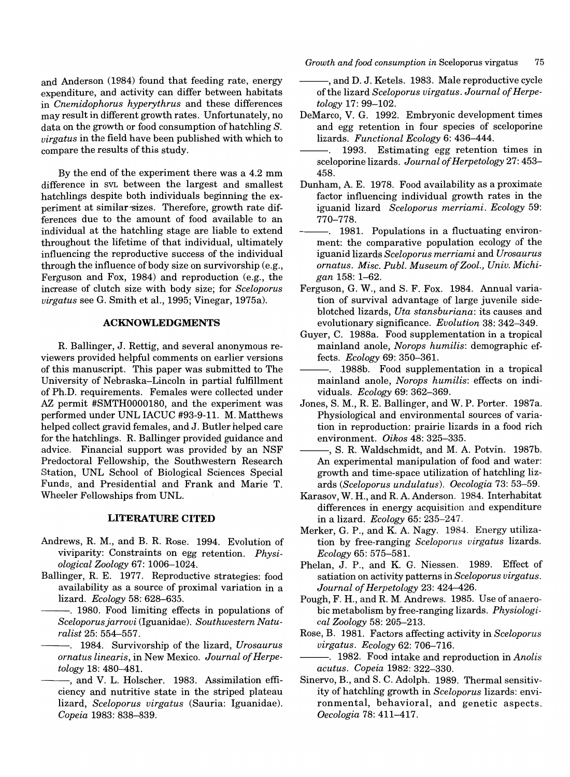and Anderson (1984) found that feeding rate, energy expenditure, and activity can differ between habitats in *Cnemidophorus hyperythrus* and these differences may result in different growth rates. Unfortunately, no data on the growth or food consumption of hatchling *S. virgatus* in the field have been published with which to compare the results of this study.

By the end of the experiment there was a 4.2 mm difference in SVL between the largest and smallest hatchlings despite both individuals beginning the experiment at similar·sizes. Therefore, growth rate differences due to the amount of food available to an individual at the hatchling stage are liable to extend throughout the lifetime of that individual, ultimately influencing the reproductive success of the individual through the influence of body size on survivorship (e.g., Ferguson and Fox, 1984) and reproduction (e.g., the increase of clutch size with body size; for *Sceloporus virgatus* see G. Smith et aI., 1995; Vinegar, 1975a).

## **ACKNOWLEDGMENTS**

R. Ballinger, J. Rettig, and several anonymous reviewers provided helpful comments on earlier versions of this manuscript. This paper was submitted to The University of Nebraska-Lincoln in partial fulfillment of Ph.D. requirements. Females were collected under AZ permit #SMTHOOOOI80, and the experiment was performed under UNL IACUC #93-9-11. M. Matthews helped collect gravid females, and J. Butler helped care for the hatchlings. R. Ballinger provided guidance and advice. Financial support was provided by an NSF Predoctoral Fellowship, the Southwestern Research Station, UNL School of Biological Sciences Special Funds, and Presidential and Frank and Marie T. Wheeler Fellowships from UNL.

#### **LITERATURE CITED**

- Andrews, R. M., and B. R. Rose. 1994. Evolution of viviparity: Constraints on egg retention. *Physiological Zoology* 67: 1006-1024.
- Ballinger, R. E. 1977. Reproductive strategies: food availability as a source of proximal variation in a lizard. *Ecology* 58: 628-635.
	- -. 1980. Food limiting effects in populations of *Sceloporusjarrovi* (Iguanidae). *Southwestern Naturalist* 25: 554-557.
	- ---. 1984. Survivorship of the lizard, *Urosaurus ornatus linearis,* in New Mexico. *Journal of Herpetology* 18: 480-481.
	- --, and V. L. Holscher. 1983. Assimilation efficiency and nutritive state in the striped plateau lizard, *Sceloporus virgatus* (Sauria: Iguanidae). *Copeia* 1983: 838-839.

*Growth and food consumption in* Sceloporus virgatus 75

- and D. J. Ketels. 1983. Male reproductive cycle. of the lizard *Sceloporus virgatus. Journal of Herpetology* 17: 99-102.
- DeMarco, V. G. 1992. Embryonic development times and egg retention in four species of sceloporine lizards. *Functional Ecology* 6: 436-444.
- 1993. Estimating egg retention times in  $\overline{a}$ sceloporine lizards. *Journal of Herpetology* 27: 453- 458.
- Dunham, A. E. 1978. Food availability as a proximate factor influencing individual growth rates in the iguanid lizard *Sceloporus merriami. Ecology 59:*  770-778.
- -. 1981. Populations in a fluctuating environment: the comparative population ecology of the iguanid lizards *Sceloporus merriami* and *Urosaurus ornatus. Misc. Publ. Museum of Zool., Univ. Michigan* 158: 1-62.
- Ferguson, G. W., and S. F. Fox. 1984. Annual variation of survival advantage of large juvenile sideblotched lizards, *Uta stansburiana:* its causes and evolutionary significance. *Evolution* 38: 342-349.
- Guyer, C. 1988a. Food supplementation in a tropical mainland anole, *Norops humilis:* demographic effects. *Ecology* 69: 350-361.
- -. 1988b. Food supplementation in a tropical mainland anole, *Norops humilis:* effects on individuals. *Ecology* 69: 362-369.
- Jones, S. M., R. E. Ballinger, and W. P. Porter. 1987a. Physiological and environmental sources of variation in reproduction: prairie lizards in a food rich environment. *Oikos* 48: 325-335.
- --, S. R. Waldschmidt, and M. A. Potvin. 1987b. An experimental manipulation of food and water: growth and time-space utilization of hatchling lizards *(Sceloporus undulatus). Oecologia* 73: 53-59.
- Karasov, W. H., and R. A. Anderson. 1984. Interhabitat differences in energy acquisition and expenditure in a lizard. *Ecology* 65: 235-247.
- Merker, G. P., and K. A. Nagy. 1984. Energy utilization by free-ranging *Sceloporus virgatus* lizards. *Ecology* 65: 575-581.
- Phelan, J. P., and K. G. Niessen. 1989. Effect of satiation on activity patterns in *Sceloporus virgatus. Journal of Herpetology* 23: 424-426.
- Pough, F. H., and R. M. Andrews. 1985. Use of anaerobic metabolism by free-ranging lizards. *Physiological Zoology* 58: 205-213.
- Rose, B. 1981. Factors affecting activity in *Sceloporus virgatus. Ecology* 62: 706-716.
	- ---. 1982. Food intake and reproduction in *Anolis acutus. Copeia* 1982: 322-330.
- Sinervo, B., and S. C. Adolph. 1989. Thermal sensitivity of hatchling growth in *Sceloporus* lizards: environmental, behavioral, and genetic aspects. *Oecologia* 78: 411-417.